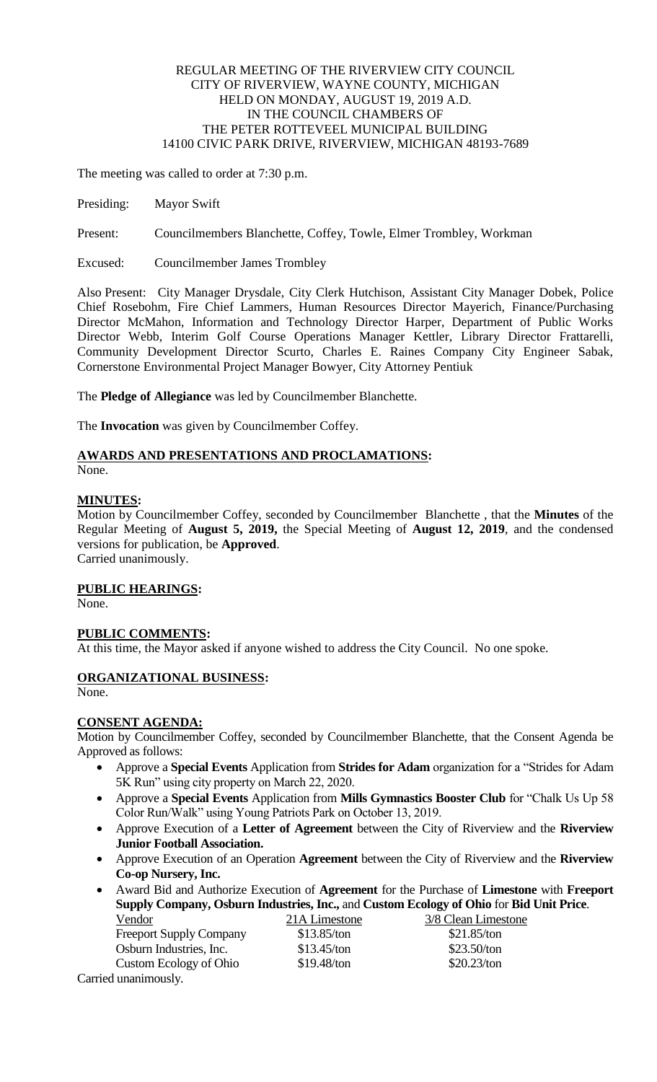# REGULAR MEETING OF THE RIVERVIEW CITY COUNCIL CITY OF RIVERVIEW, WAYNE COUNTY, MICHIGAN HELD ON MONDAY, AUGUST 19, 2019 A.D. IN THE COUNCIL CHAMBERS OF THE PETER ROTTEVEEL MUNICIPAL BUILDING 14100 CIVIC PARK DRIVE, RIVERVIEW, MICHIGAN 48193-7689

The meeting was called to order at 7:30 p.m.

Presiding: Mayor Swift

Present: Councilmembers Blanchette, Coffey, Towle, Elmer Trombley, Workman

Excused: Councilmember James Trombley

Also Present: City Manager Drysdale, City Clerk Hutchison, Assistant City Manager Dobek, Police Chief Rosebohm, Fire Chief Lammers, Human Resources Director Mayerich, Finance/Purchasing Director McMahon, Information and Technology Director Harper, Department of Public Works Director Webb, Interim Golf Course Operations Manager Kettler, Library Director Frattarelli, Community Development Director Scurto, Charles E. Raines Company City Engineer Sabak, Cornerstone Environmental Project Manager Bowyer, City Attorney Pentiuk

The **Pledge of Allegiance** was led by Councilmember Blanchette.

The **Invocation** was given by Councilmember Coffey.

# **AWARDS AND PRESENTATIONS AND PROCLAMATIONS:**

None.

## **MINUTES:**

Motion by Councilmember Coffey, seconded by Councilmember Blanchette , that the **Minutes** of the Regular Meeting of **August 5, 2019,** the Special Meeting of **August 12, 2019**, and the condensed versions for publication, be **Approved**.

Carried unanimously.

# **PUBLIC HEARINGS:**

None.

# **PUBLIC COMMENTS:**

At this time, the Mayor asked if anyone wished to address the City Council. No one spoke.

# **ORGANIZATIONAL BUSINESS:**

None.

### **CONSENT AGENDA:**

Motion by Councilmember Coffey, seconded by Councilmember Blanchette, that the Consent Agenda be Approved as follows:

- Approve a **Special Events** Application from **Strides for Adam** organization for a "Strides for Adam 5K Run" using city property on March 22, 2020.
- Approve a **Special Events** Application from **Mills Gymnastics Booster Club** for "Chalk Us Up 58 Color Run/Walk" using Young Patriots Park on October 13, 2019.
- Approve Execution of a **Letter of Agreement** between the City of Riverview and the **Riverview Junior Football Association.**
- Approve Execution of an Operation **Agreement** between the City of Riverview and the **Riverview Co-op Nursery, Inc.**
- Award Bid and Authorize Execution of **Agreement** for the Purchase of **Limestone** with **Freeport Supply Company, Osburn Industries, Inc.,** and **Custom Ecology of Ohio** for **Bid Unit Price**.

| Vendor                         | 21A Limestone | 3/8 Clean Limestone |
|--------------------------------|---------------|---------------------|
| <b>Freeport Supply Company</b> | \$13.85/ton   | \$21.85/ton         |
| Osburn Industries, Inc.        | \$13.45/ton   | $$23.50$ /ton       |
| Custom Ecology of Ohio         | $$19.48$ /ton | \$20.23/ton         |
| arried unanimously             |               |                     |

Carried unanimously.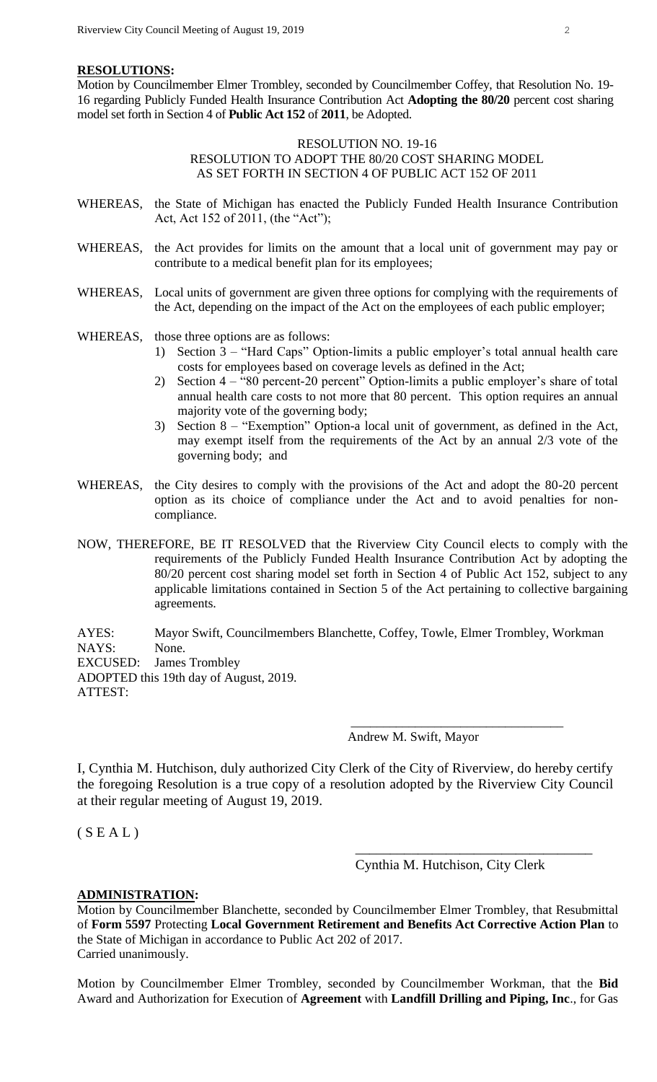## **RESOLUTIONS:**

Motion by Councilmember Elmer Trombley, seconded by Councilmember Coffey, that Resolution No. 19- 16 regarding Publicly Funded Health Insurance Contribution Act **Adopting the 80/20** percent cost sharing model set forth in Section 4 of **Public Act 152** of **2011**, be Adopted.

## RESOLUTION NO. 19-16 RESOLUTION TO ADOPT THE 80/20 COST SHARING MODEL AS SET FORTH IN SECTION 4 OF PUBLIC ACT 152 OF 2011

- WHEREAS, the State of Michigan has enacted the Publicly Funded Health Insurance Contribution Act, Act 152 of 2011, (the "Act");
- WHEREAS, the Act provides for limits on the amount that a local unit of government may pay or contribute to a medical benefit plan for its employees;
- WHEREAS, Local units of government are given three options for complying with the requirements of the Act, depending on the impact of the Act on the employees of each public employer;

WHEREAS, those three options are as follows:

- 1) Section 3 "Hard Caps" Option-limits a public employer's total annual health care costs for employees based on coverage levels as defined in the Act;
- 2) Section 4 "80 percent-20 percent" Option-limits a public employer's share of total annual health care costs to not more that 80 percent. This option requires an annual majority vote of the governing body;
- 3) Section 8 "Exemption" Option-a local unit of government, as defined in the Act, may exempt itself from the requirements of the Act by an annual 2/3 vote of the governing body; and
- WHEREAS, the City desires to comply with the provisions of the Act and adopt the 80-20 percent option as its choice of compliance under the Act and to avoid penalties for noncompliance.
- NOW, THEREFORE, BE IT RESOLVED that the Riverview City Council elects to comply with the requirements of the Publicly Funded Health Insurance Contribution Act by adopting the 80/20 percent cost sharing model set forth in Section 4 of Public Act 152, subject to any applicable limitations contained in Section 5 of the Act pertaining to collective bargaining agreements.

AYES: Mayor Swift, Councilmembers Blanchette, Coffey, Towle, Elmer Trombley, Workman NAYS: None. EXCUSED: James Trombley ADOPTED this 19th day of August, 2019. ATTEST:

Andrew M. Swift, Mayor

 $\overline{\phantom{a}}$  ,  $\overline{\phantom{a}}$  ,  $\overline{\phantom{a}}$  ,  $\overline{\phantom{a}}$  ,  $\overline{\phantom{a}}$  ,  $\overline{\phantom{a}}$  ,  $\overline{\phantom{a}}$  ,  $\overline{\phantom{a}}$  ,  $\overline{\phantom{a}}$  ,  $\overline{\phantom{a}}$  ,  $\overline{\phantom{a}}$  ,  $\overline{\phantom{a}}$  ,  $\overline{\phantom{a}}$  ,  $\overline{\phantom{a}}$  ,  $\overline{\phantom{a}}$  ,  $\overline{\phantom{a}}$ 

I, Cynthia M. Hutchison, duly authorized City Clerk of the City of Riverview, do hereby certify the foregoing Resolution is a true copy of a resolution adopted by the Riverview City Council at their regular meeting of August 19, 2019.

 $(S E A L)$ 

Cynthia M. Hutchison, City Clerk

\_\_\_\_\_\_\_\_\_\_\_\_\_\_\_\_\_\_\_\_\_\_\_\_\_\_\_\_\_\_\_\_\_\_

## **ADMINISTRATION:**

Motion by Councilmember Blanchette, seconded by Councilmember Elmer Trombley, that Resubmittal of **Form 5597** Protecting **Local Government Retirement and Benefits Act Corrective Action Plan** to the State of Michigan in accordance to Public Act 202 of 2017. Carried unanimously.

Motion by Councilmember Elmer Trombley, seconded by Councilmember Workman, that the **Bid**  Award and Authorization for Execution of **Agreement** with **Landfill Drilling and Piping, Inc**., for Gas